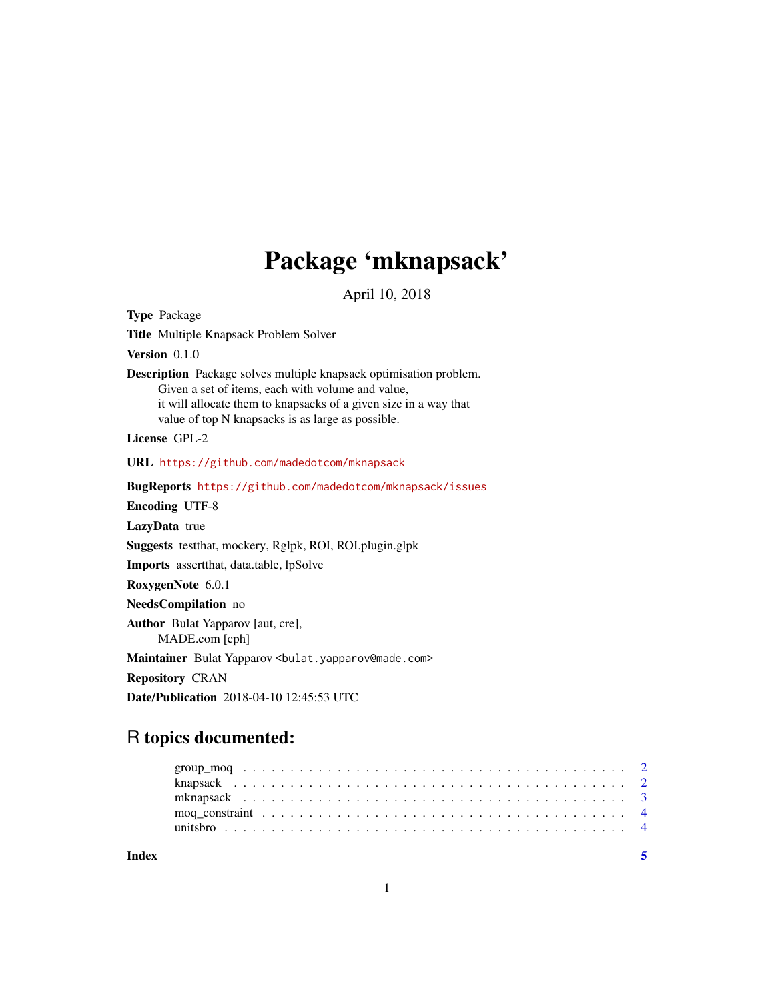## Package 'mknapsack'

April 10, 2018

Type Package Title Multiple Knapsack Problem Solver Version 0.1.0 Description Package solves multiple knapsack optimisation problem. Given a set of items, each with volume and value, it will allocate them to knapsacks of a given size in a way that value of top N knapsacks is as large as possible. License GPL-2 URL <https://github.com/madedotcom/mknapsack> BugReports <https://github.com/madedotcom/mknapsack/issues> Encoding UTF-8 LazyData true Suggests testthat, mockery, Rglpk, ROI, ROI.plugin.glpk Imports assertthat, data.table, lpSolve RoxygenNote 6.0.1 NeedsCompilation no Author Bulat Yapparov [aut, cre], MADE.com [cph] Maintainer Bulat Yapparov <bulat.yapparov@made.com> Repository CRAN Date/Publication 2018-04-10 12:45:53 UTC

### R topics documented: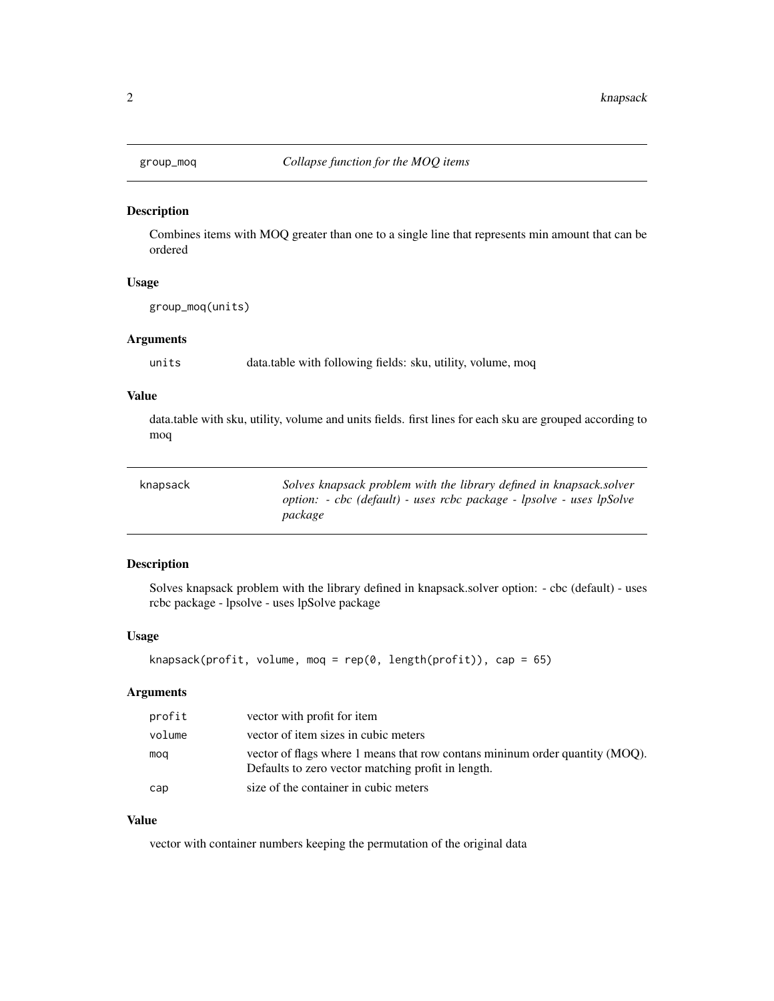<span id="page-1-0"></span>

#### Description

Combines items with MOQ greater than one to a single line that represents min amount that can be ordered

#### Usage

group\_moq(units)

#### Arguments

units data.table with following fields: sku, utility, volume, moq

#### Value

data.table with sku, utility, volume and units fields. first lines for each sku are grouped according to moq

| knapsack | Solves knapsack problem with the library defined in knapsack solver  |
|----------|----------------------------------------------------------------------|
|          | option: - cbc (default) - uses rcbc package - lpsolve - uses lpSolve |
|          | package                                                              |

#### Description

Solves knapsack problem with the library defined in knapsack.solver option: - cbc (default) - uses rcbc package - lpsolve - uses lpSolve package

#### Usage

```
knapsack(profit, volume, moq = rep(0, length(profit)), cap = 65)
```
#### Arguments

| profit | vector with profit for item                                                                                                        |
|--------|------------------------------------------------------------------------------------------------------------------------------------|
| volume | vector of item sizes in cubic meters                                                                                               |
| mog    | vector of flags where 1 means that row contans mininum order quantity (MOQ).<br>Defaults to zero vector matching profit in length. |
| cap    | size of the container in cubic meters                                                                                              |

#### Value

vector with container numbers keeping the permutation of the original data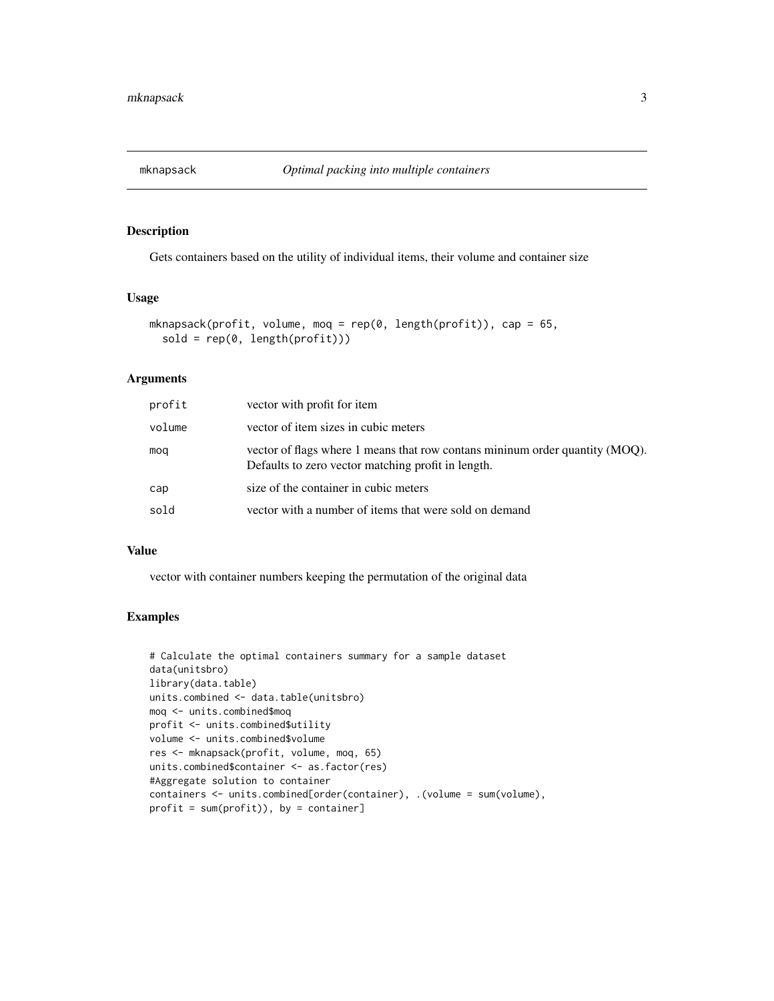<span id="page-2-0"></span>

#### Description

Gets containers based on the utility of individual items, their volume and container size

#### Usage

```
mknapsack(profit, volume, moq = rep(0, length(profit)), cap = 65,
  sold = rep(0, length(profit)))
```
#### Arguments

| profit | vector with profit for item                                                                                                        |
|--------|------------------------------------------------------------------------------------------------------------------------------------|
| volume | vector of item sizes in cubic meters                                                                                               |
| mog    | vector of flags where 1 means that row contans mininum order quantity (MOQ).<br>Defaults to zero vector matching profit in length. |
| cap    | size of the container in cubic meters                                                                                              |
| sold   | vector with a number of items that were sold on demand                                                                             |

#### Value

vector with container numbers keeping the permutation of the original data

#### Examples

```
# Calculate the optimal containers summary for a sample dataset
data(unitsbro)
library(data.table)
units.combined <- data.table(unitsbro)
moq <- units.combined$moq
profit <- units.combined$utility
volume <- units.combined$volume
res <- mknapsack(profit, volume, moq, 65)
units.combined$container <- as.factor(res)
#Aggregate solution to container
containers <- units.combined[order(container), .(volume = sum(volume),
profit = sum(profit)), by = container]
```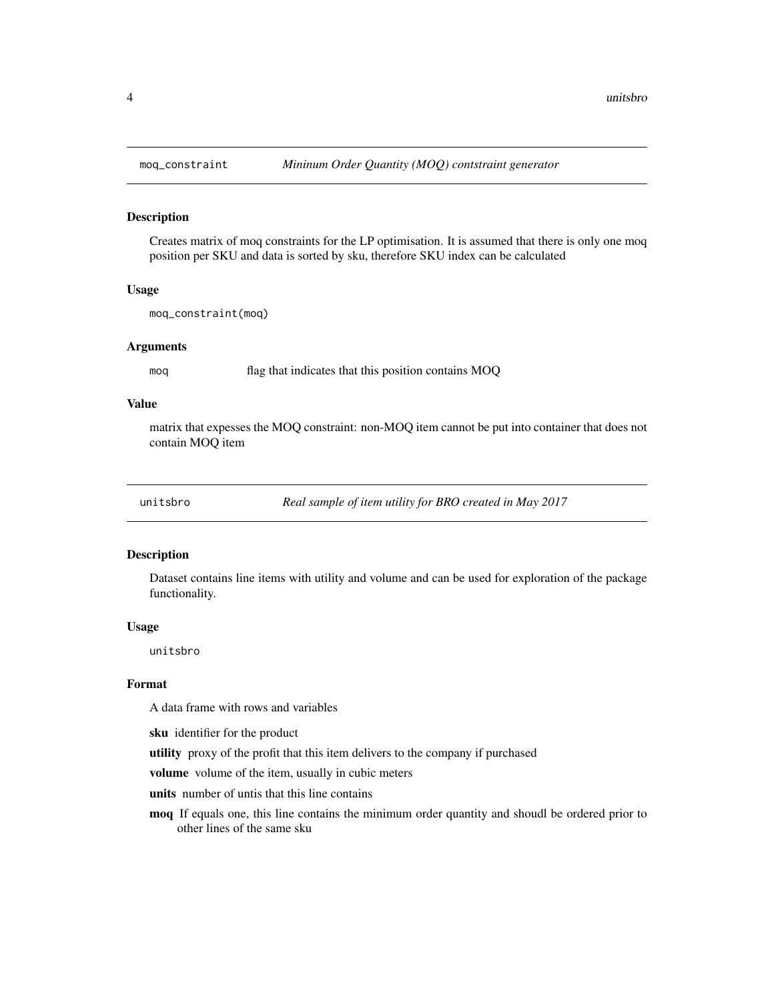#### Description

Creates matrix of moq constraints for the LP optimisation. It is assumed that there is only one moq position per SKU and data is sorted by sku, therefore SKU index can be calculated

#### Usage

moq\_constraint(moq)

#### Arguments

moq flag that indicates that this position contains MOQ

#### Value

matrix that expesses the MOQ constraint: non-MOQ item cannot be put into container that does not contain MOQ item

unitsbro *Real sample of item utility for BRO created in May 2017*

#### Description

Dataset contains line items with utility and volume and can be used for exploration of the package functionality.

#### Usage

unitsbro

#### Format

A data frame with rows and variables

sku identifier for the product

utility proxy of the profit that this item delivers to the company if purchased

volume volume of the item, usually in cubic meters

units number of untis that this line contains

moq If equals one, this line contains the minimum order quantity and shoudl be ordered prior to other lines of the same sku